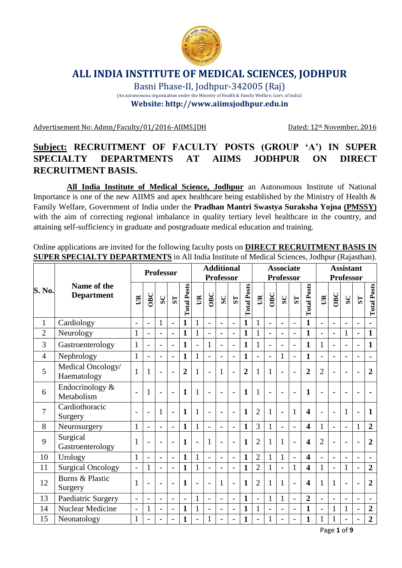

## **ALL INDIA INSTITUTE OF MEDICAL SCIENCES, JODHPUR**

Basni Phase-II, Jodhpur-342005 (Raj) (An autonomous organization under the Ministry of Health & Family Welfare, Govt. of India) **Website: http://www.aiimsjodhpur.edu.in**

Advertisement No: Admn/Faculty/01/2016-AIIMS.JDH Dated: 12<sup>th</sup> November, 2016

## **Subject: RECRUITMENT OF FACULTY POSTS (GROUP 'A') IN SUPER SPECIALTY DEPARTMENTS AT AIIMS JODHPUR ON DIRECT RECRUITMENT BASIS.**

**All India Institute of Medical Science, Jodhpur** an Autonomous Institute of National Importance is one of the new AIIMS and apex healthcare being established by the Ministry of Health & Family Welfare, Government of India under the **Pradhan Mantri Swastya Suraksha Yojna (PMSSY)** with the aim of correcting regional imbalance in quality tertiary level healthcare in the country, and attaining self-sufficiency in graduate and postgraduate medical education and training.

Online applications are invited for the following faculty posts on **DIRECT RECRUITMENT BASIS IN SUPER SPECIALTY DEPARTMENTS** in All India Institute of Medical Sciences, Jodhpur (Rajasthan).

|                |                                  | <b>Professor</b>         |                          |                          | <b>Additional</b><br><b>Professor</b> |                    |                          |                          |                          |                          |                    | <b>Associate</b><br><b>Professor</b> |                          | <b>Assistant</b><br><b>Professor</b> |                          |                         |                          |                |                          |                          |                    |
|----------------|----------------------------------|--------------------------|--------------------------|--------------------------|---------------------------------------|--------------------|--------------------------|--------------------------|--------------------------|--------------------------|--------------------|--------------------------------------|--------------------------|--------------------------------------|--------------------------|-------------------------|--------------------------|----------------|--------------------------|--------------------------|--------------------|
| S. No.         | Name of the<br><b>Department</b> | B                        | OBC                      | ${\bf SC}$               | $\overline{\mathbf{S}}$               | <b>Total Posts</b> | $\mathbb{R}$             | OBC                      | SC                       | $\overline{\mathbf{S}}$  | <b>Total Posts</b> | $\mathbb{B}$                         | OBC                      | SC                                   | $\overline{\mathbf{S}}$  | <b>Total Posts</b>      | $\mathbb{B}$             | OBC            | SC                       | S <sub>T</sub>           | <b>Total Posts</b> |
| $\mathbf{1}$   | Cardiology                       | $\blacksquare$           | $\overline{a}$           | $\mathbf{1}$             | $\overline{a}$                        | $\mathbf{1}$       | 1                        | $\overline{a}$           | $\overline{a}$           | $\overline{a}$           | $\mathbf{1}$       | $\mathbf{1}$                         | $\overline{a}$           | $\overline{a}$                       |                          | $\mathbf{1}$            |                          |                | $\overline{\phantom{0}}$ | $\overline{\phantom{0}}$ |                    |
| $\overline{2}$ | Neurology                        | $\mathbf{1}$             |                          |                          | $\overline{a}$                        | $\mathbf{1}$       | 1                        | $\overline{a}$           | $\overline{a}$           | $\overline{\phantom{a}}$ | $\mathbf{1}$       | $\mathbf{1}$                         | $\overline{\phantom{0}}$ | $\overline{\phantom{a}}$             |                          | $\mathbf{1}$            |                          | $\overline{a}$ | $\mathbf{1}$             | $\overline{\phantom{0}}$ | $\mathbf{1}$       |
| 3              | Gastroenterology                 | $\mathbf{1}$             | $\overline{a}$           | -                        | $\blacksquare$                        | $\mathbf{1}$       | $\overline{\phantom{a}}$ | $\mathbf{1}$             | $\overline{\phantom{a}}$ | ÷                        | $\mathbf{1}$       | $\mathbf{1}$                         | $\overline{\phantom{0}}$ | $\overline{\phantom{a}}$             | $\overline{\phantom{0}}$ | $\mathbf{1}$            | $\mathbf{1}$             | $\overline{a}$ | $\overline{\phantom{0}}$ | $\overline{\phantom{0}}$ | $\mathbf{1}$       |
| $\overline{4}$ | Nephrology                       | $\mathbf{1}$             | $\overline{\phantom{a}}$ |                          | $\overline{a}$                        | $\mathbf{1}$       | 1                        | $\overline{a}$           | $\overline{\phantom{a}}$ | $\overline{a}$           | $\mathbf{1}$       |                                      | $\overline{a}$           | $\mathbf{1}$                         | $\overline{\phantom{0}}$ | $\mathbf{1}$            |                          |                | $\overline{\phantom{0}}$ | $\overline{\phantom{0}}$ | $\blacksquare$     |
| 5              | Medical Oncology/<br>Haematology | $\mathbf{1}$             | 1                        |                          | $\overline{a}$                        | $\overline{2}$     | 1                        | $\overline{a}$           | $\mathbf{1}$             | L,                       | $\overline{2}$     | 1                                    | 1                        | $\overline{\phantom{a}}$             |                          | $\overline{2}$          | $\overline{2}$           |                | $\overline{\phantom{0}}$ | $\overline{\phantom{0}}$ | $\overline{2}$     |
| 6              | Endocrinology &<br>Metabolism    |                          | $\mathbf{1}$             |                          | $\overline{\phantom{a}}$              | $\mathbf{1}$       | 1                        | L,                       | $\overline{\phantom{0}}$ | $\overline{a}$           | $\mathbf{1}$       | $\mathbf{1}$                         | $\overline{\phantom{a}}$ | $\overline{a}$                       |                          | $\mathbf{1}$            |                          |                |                          |                          |                    |
| 7              | Cardiothoracic<br>Surgery        | $\overline{\phantom{a}}$ | $\overline{a}$           | 1                        | $\overline{\phantom{a}}$              | $\mathbf{1}$       |                          | $\overline{\phantom{a}}$ | $\overline{\phantom{a}}$ | $\overline{a}$           | $\mathbf{1}$       | $\overline{2}$                       | $\mathbf{1}$             | $\overline{\phantom{0}}$             | 1                        | $\overline{\mathbf{4}}$ | $\overline{\phantom{a}}$ | $\overline{a}$ | $\mathbf{1}$             | $\overline{a}$           | $\mathbf{1}$       |
| 8              | Neurosurgery                     | $\mathbf{1}$             | $\overline{\phantom{a}}$ | $\overline{\phantom{0}}$ | $\blacksquare$                        | $\mathbf{1}$       | $\mathbf{1}$             | $\overline{\phantom{a}}$ | $\overline{\phantom{a}}$ | $\overline{a}$           | $\mathbf{1}$       | 3                                    | $\mathbf{1}$             | $\overline{\phantom{a}}$             | $\overline{\phantom{a}}$ | $\overline{\mathbf{4}}$ | 1                        | $\overline{a}$ | $\overline{\phantom{0}}$ | $\mathbf{1}$             | $\overline{2}$     |
| 9              | Surgical<br>Gastroenterology     | $\mathbf{1}$             |                          |                          | $\overline{a}$                        | $\mathbf{1}$       |                          | $\mathbf{1}$             | $\blacksquare$           | L,                       | $\mathbf{1}$       | $\overline{2}$                       | $\mathbf{1}$             | $\mathbf{1}$                         |                          | 4                       | $\overline{2}$           |                |                          |                          | $\overline{2}$     |
| 10             | Urology                          | $\mathbf{1}$             | $\overline{\phantom{a}}$ | $\overline{\phantom{0}}$ | $\overline{\phantom{a}}$              | $\mathbf{1}$       |                          | $\overline{\phantom{a}}$ | $\blacksquare$           | $\overline{a}$           | $\mathbf{1}$       | $\overline{2}$                       | $\mathbf{1}$             | $\mathbf{1}$                         | $\overline{\phantom{0}}$ | $\overline{\mathbf{4}}$ |                          | $\overline{a}$ | $\blacksquare$           | $\overline{\phantom{a}}$ | $\blacksquare$     |
| 11             | <b>Surgical Oncology</b>         | $\blacksquare$           | $\mathbf{1}$             | $\overline{a}$           | $\overline{a}$                        | $\mathbf{1}$       |                          | $\overline{a}$           | $\overline{a}$           | $\overline{a}$           | $\mathbf{1}$       | $\overline{2}$                       | $\mathbf{1}$             | $\overline{\phantom{a}}$             | 1                        | $\overline{\mathbf{4}}$ | $\mathbf{1}$             | $\overline{a}$ | $\mathbf{1}$             | $\overline{\phantom{0}}$ | $\overline{2}$     |
| 12             | Burns & Plastic<br>Surgery       | $\mathbf{1}$             |                          |                          | $\overline{\phantom{0}}$              | $\mathbf{1}$       |                          |                          | $\mathbf{1}$             | L,                       | 1                  | $\overline{2}$                       | 1                        | 1                                    |                          | 4                       | 1                        | $\mathbf{1}$   |                          |                          | $\overline{2}$     |
| 13             | Paediatric Surgery               | $\blacksquare$           | $\blacksquare$           | $\overline{\phantom{0}}$ | $\overline{a}$                        | $\blacksquare$     | 1                        | $\qquad \qquad -$        | $\overline{\phantom{a}}$ | $\overline{a}$           | $\mathbf{1}$       | $\overline{\phantom{a}}$             | $\mathbf{1}$             | $\mathbf{1}$                         | $\overline{\phantom{0}}$ | $\overline{2}$          | $\overline{\phantom{a}}$ | $\overline{a}$ | $\overline{\phantom{0}}$ | $\overline{\phantom{a}}$ | $\blacksquare$     |
| 14             | <b>Nuclear Medicine</b>          | $\overline{\phantom{a}}$ | 1                        | -                        | $\overline{\phantom{a}}$              | 1                  | 1                        | $\overline{\phantom{a}}$ | $\overline{\phantom{a}}$ | $\overline{a}$           | $\mathbf{1}$       | $\mathbf{1}$                         | $\overline{\phantom{0}}$ | $\overline{\phantom{a}}$             | $\overline{\phantom{0}}$ | $\mathbf{1}$            | $\overline{a}$           | 1              | $\mathbf{1}$             | $\overline{\phantom{0}}$ | $\overline{2}$     |
| 15             | Neonatology                      | $\mathbf{1}$             |                          |                          | $\overline{\phantom{0}}$              | $\mathbf{1}$       |                          | 1                        |                          | $\overline{a}$           | $\mathbf{1}$       |                                      | 1                        | $\overline{\phantom{a}}$             |                          | $\mathbf{1}$            |                          | 1              | $\overline{a}$           | $\overline{\phantom{0}}$ | $\overline{2}$     |

Page **1** of **9**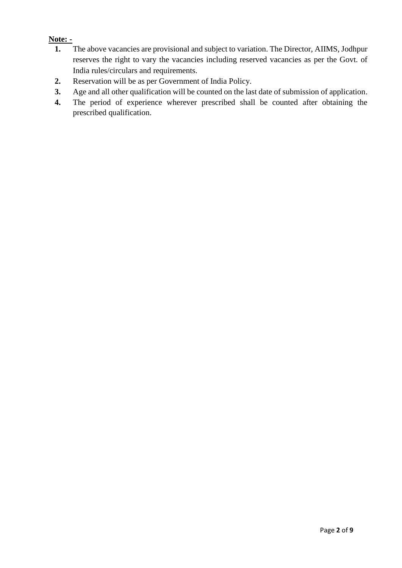### **Note: -**

- **1.** The above vacancies are provisional and subject to variation. The Director, AIIMS, Jodhpur reserves the right to vary the vacancies including reserved vacancies as per the Govt. of India rules/circulars and requirements.
- **2.** Reservation will be as per Government of India Policy.
- **3.** Age and all other qualification will be counted on the last date of submission of application.
- **4.** The period of experience wherever prescribed shall be counted after obtaining the prescribed qualification.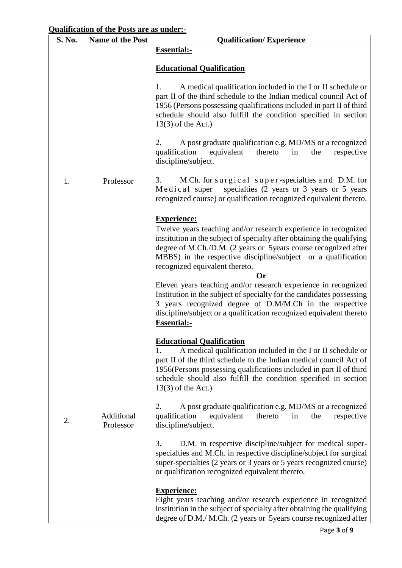### **Qualification of the Posts are as under:-**

| S. No. | Name of the Post        | <b>Qualification/Experience</b>                                                                                                                                                                                                                                                                                                                    |  |  |  |  |  |  |  |
|--------|-------------------------|----------------------------------------------------------------------------------------------------------------------------------------------------------------------------------------------------------------------------------------------------------------------------------------------------------------------------------------------------|--|--|--|--|--|--|--|
|        |                         | <b>Essential:-</b>                                                                                                                                                                                                                                                                                                                                 |  |  |  |  |  |  |  |
|        |                         | <b>Educational Qualification</b>                                                                                                                                                                                                                                                                                                                   |  |  |  |  |  |  |  |
|        | Professor               | A medical qualification included in the I or II schedule or<br>1.<br>part II of the third schedule to the Indian medical council Act of<br>1956 (Persons possessing qualifications included in part II of third<br>schedule should also fulfill the condition specified in section<br>$13(3)$ of the Act.)                                         |  |  |  |  |  |  |  |
|        |                         | 2.<br>A post graduate qualification e.g. MD/MS or a recognized<br>equivalent<br>qualification<br>thereto<br>the<br>respective<br>in<br>discipline/subject.                                                                                                                                                                                         |  |  |  |  |  |  |  |
| 1.     |                         | M.Ch. for surgical super-specialties and D.M. for<br>3.<br>Medical super specialties (2 years or 3 years or 5 years<br>recognized course) or qualification recognized equivalent thereto.                                                                                                                                                          |  |  |  |  |  |  |  |
|        |                         | <b>Experience:</b><br>Twelve years teaching and/or research experience in recognized<br>institution in the subject of specialty after obtaining the qualifying<br>degree of M.Ch./D.M. (2 years or 5 years course recognized after<br>MBBS) in the respective discipline/subject or a qualification<br>recognized equivalent thereto.<br><b>Or</b> |  |  |  |  |  |  |  |
|        |                         | Eleven years teaching and/or research experience in recognized<br>Institution in the subject of specialty for the candidates possessing<br>3 years recognized degree of D.M/M.Ch in the respective<br>discipline/subject or a qualification recognized equivalent thereto<br><b>Essential:-</b>                                                    |  |  |  |  |  |  |  |
|        |                         | <b>Educational Qualification</b><br>A medical qualification included in the I or II schedule or<br>part II of the third schedule to the Indian medical council Act of<br>1956 (Persons possessing qualifications included in part II of third<br>schedule should also fulfill the condition specified in section<br>$13(3)$ of the Act.)           |  |  |  |  |  |  |  |
| 2.     | Additional<br>Professor | A post graduate qualification e.g. MD/MS or a recognized<br>2.<br>qualification<br>equivalent<br>thereto<br>the<br>respective<br>in<br>discipline/subject.                                                                                                                                                                                         |  |  |  |  |  |  |  |
|        |                         | D.M. in respective discipline/subject for medical super-<br>3.<br>specialties and M.Ch. in respective discipline/subject for surgical<br>super-specialties (2 years or 3 years or 5 years recognized course)<br>or qualification recognized equivalent thereto.                                                                                    |  |  |  |  |  |  |  |
|        |                         | <b>Experience:</b><br>Eight years teaching and/or research experience in recognized<br>institution in the subject of specialty after obtaining the qualifying<br>degree of D.M./ M.Ch. (2 years or 5 years course recognized after                                                                                                                 |  |  |  |  |  |  |  |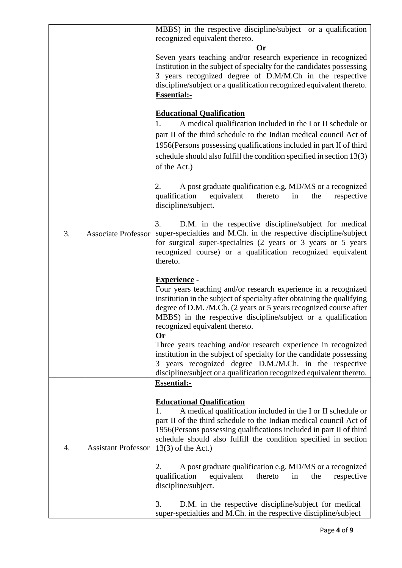|    |                            | MBBS) in the respective discipline/subject or a qualification                                                                          |
|----|----------------------------|----------------------------------------------------------------------------------------------------------------------------------------|
|    |                            | recognized equivalent thereto.                                                                                                         |
|    |                            | <b>Or</b>                                                                                                                              |
|    |                            | Seven years teaching and/or research experience in recognized<br>Institution in the subject of specialty for the candidates possessing |
|    |                            | 3 years recognized degree of D.M/M.Ch in the respective                                                                                |
|    |                            | discipline/subject or a qualification recognized equivalent thereto.                                                                   |
|    |                            | <b>Essential:-</b>                                                                                                                     |
|    |                            |                                                                                                                                        |
|    |                            | <b>Educational Qualification</b>                                                                                                       |
|    |                            | 1.<br>A medical qualification included in the I or II schedule or                                                                      |
|    |                            | part II of the third schedule to the Indian medical council Act of                                                                     |
|    |                            | 1956 (Persons possessing qualifications included in part II of third                                                                   |
|    |                            | schedule should also fulfill the condition specified in section 13(3)                                                                  |
|    |                            |                                                                                                                                        |
|    |                            | of the Act.)                                                                                                                           |
|    |                            |                                                                                                                                        |
|    |                            | A post graduate qualification e.g. MD/MS or a recognized<br>2.<br>qualification<br>equivalent<br>thereto<br>the<br>respective<br>in    |
|    |                            | discipline/subject.                                                                                                                    |
|    |                            |                                                                                                                                        |
|    | <b>Associate Professor</b> | D.M. in the respective discipline/subject for medical<br>3.                                                                            |
| 3. |                            | super-specialties and M.Ch. in the respective discipline/subject                                                                       |
|    |                            | for surgical super-specialties (2 years or 3 years or 5 years                                                                          |
|    |                            | recognized course) or a qualification recognized equivalent                                                                            |
|    |                            | thereto.                                                                                                                               |
|    |                            |                                                                                                                                        |
|    |                            |                                                                                                                                        |
|    |                            | <b>Experience</b> -                                                                                                                    |
|    |                            | Four years teaching and/or research experience in a recognized                                                                         |
|    |                            | institution in the subject of specialty after obtaining the qualifying                                                                 |
|    |                            | degree of D.M. /M.Ch. (2 years or 5 years recognized course after                                                                      |
|    |                            | MBBS) in the respective discipline/subject or a qualification                                                                          |
|    |                            | recognized equivalent thereto.                                                                                                         |
|    |                            | <b>Or</b><br>Three years teaching and/or research experience in recognized                                                             |
|    |                            | institution in the subject of specialty for the candidate possessing                                                                   |
|    |                            | 3 years recognized degree D.M./M.Ch. in the respective                                                                                 |
|    |                            | discipline/subject or a qualification recognized equivalent thereto.                                                                   |
|    |                            | <b>Essential:-</b>                                                                                                                     |
|    |                            |                                                                                                                                        |
|    |                            | <b>Educational Qualification</b>                                                                                                       |
|    |                            | A medical qualification included in the I or II schedule or<br>1.                                                                      |
|    |                            | part II of the third schedule to the Indian medical council Act of                                                                     |
|    |                            | 1956 (Persons possessing qualifications included in part II of third                                                                   |
|    |                            | schedule should also fulfill the condition specified in section                                                                        |
| 4. | <b>Assistant Professor</b> | $13(3)$ of the Act.)                                                                                                                   |
|    |                            | 2.                                                                                                                                     |
|    |                            | A post graduate qualification e.g. MD/MS or a recognized<br>equivalent<br>qualification<br>thereto<br>respective<br>in<br>the          |
|    |                            | discipline/subject.                                                                                                                    |
|    |                            |                                                                                                                                        |
|    |                            | 3.<br>D.M. in the respective discipline/subject for medical<br>super-specialties and M.Ch. in the respective discipline/subject        |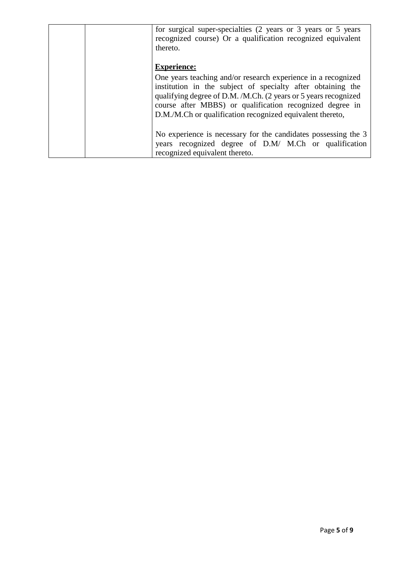|  | for surgical super-specialties (2 years or 3 years or 5 years<br>recognized course) Or a qualification recognized equivalent<br>thereto.                                                                                                                                                                                 |
|--|--------------------------------------------------------------------------------------------------------------------------------------------------------------------------------------------------------------------------------------------------------------------------------------------------------------------------|
|  | <b>Experience:</b>                                                                                                                                                                                                                                                                                                       |
|  | One years teaching and/or research experience in a recognized<br>institution in the subject of specialty after obtaining the<br>qualifying degree of D.M. /M.Ch. (2 years or 5 years recognized<br>course after MBBS) or qualification recognized degree in<br>D.M./M.Ch or qualification recognized equivalent thereto, |
|  | No experience is necessary for the candidates possessing the 3                                                                                                                                                                                                                                                           |
|  | years recognized degree of D.M/ M.Ch or qualification                                                                                                                                                                                                                                                                    |
|  | recognized equivalent thereto.                                                                                                                                                                                                                                                                                           |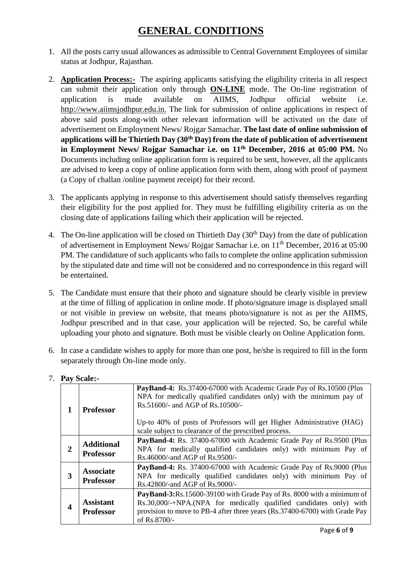# **GENERAL CONDITIONS**

- 1. All the posts carry usual allowances as admissible to Central Government Employees of similar status at Jodhpur, Rajasthan.
- 2. **Application Process:-** The aspiring applicants satisfying the eligibility criteria in all respect can submit their application only through **ON-LINE** mode. The On-line registration of application is made available on AIIMS, Jodhpur official website i.e. [http://www.aiimsjodhpur.edu.in.](http://www.aiimsjodhpur.edu.in/) The link for submission of online applications in respect of above said posts along-with other relevant information will be activated on the date of advertisement on Employment News/ Rojgar Samachar. **The last date of online submission of applications will be Thirtieth Day (30th Day) from the date of publication of advertisement in Employment News/ Rojgar Samachar i.e. on 11th December, 2016 at 05:00 PM.** No Documents including online application form is required to be sent, however, all the applicants are advised to keep a copy of online application form with them, along with proof of payment (a Copy of challan /online payment receipt) for their record.
- 3. The applicants applying in response to this advertisement should satisfy themselves regarding their eligibility for the post applied for. They must be fulfilling eligibility criteria as on the closing date of applications failing which their application will be rejected.
- 4. The On-line application will be closed on Thirtieth Day (30<sup>th</sup> Day) from the date of publication of advertisement in Employment News/ Rojgar Samachar i.e. on 11th December, 2016 at 05:00 PM. The candidature of such applicants who fails to complete the online application submission by the stipulated date and time will not be considered and no correspondence in this regard will be entertained.
- 5. The Candidate must ensure that their photo and signature should be clearly visible in preview at the time of filling of application in online mode. If photo/signature image is displayed small or not visible in preview on website, that means photo/signature is not as per the AIIMS, Jodhpur prescribed and in that case, your application will be rejected. So, be careful while uploading your photo and signature. Both must be visible clearly on Online Application form.
- 6. In case a candidate wishes to apply for more than one post, he/she is required to fill in the form separately through On-line mode only.

|   | <b>Professor</b>                      | PayBand-4: Rs.37400-67000 with Academic Grade Pay of Rs.10500 (Plus<br>NPA for medically qualified candidates only) with the minimum pay of<br>Rs.51600/- and AGP of Rs.10500/-<br>Up-to 40% of posts of Professors will get Higher Administrative (HAG)<br>scale subject to clearance of the prescribed process. |
|---|---------------------------------------|-------------------------------------------------------------------------------------------------------------------------------------------------------------------------------------------------------------------------------------------------------------------------------------------------------------------|
| 2 | <b>Additional</b><br><b>Professor</b> | PayBand-4: Rs. 37400-67000 with Academic Grade Pay of Rs.9500 (Plus<br>NPA for medically qualified candidates only) with minimum Pay of<br>Rs.46000/-and AGP of Rs.9500/-                                                                                                                                         |
| 3 | <b>Associate</b><br><b>Professor</b>  | PayBand-4: Rs. 37400-67000 with Academic Grade Pay of Rs.9000 (Plus<br>NPA for medically qualified candidates only) with minimum Pay of<br>Rs.42800/-and AGP of Rs.9000/-                                                                                                                                         |
| 4 | <b>Assistant</b><br><b>Professor</b>  | PayBand-3:Rs.15600-39100 with Grade Pay of Rs. 8000 with a minimum of<br>Rs.30,000/-+NPA.(NPA for medically qualified candidates only) with<br>provision to move to PB-4 after three years (Rs.37400-6700) with Grade Pay<br>of Rs.8700/-                                                                         |

7. **Pay Scale:-**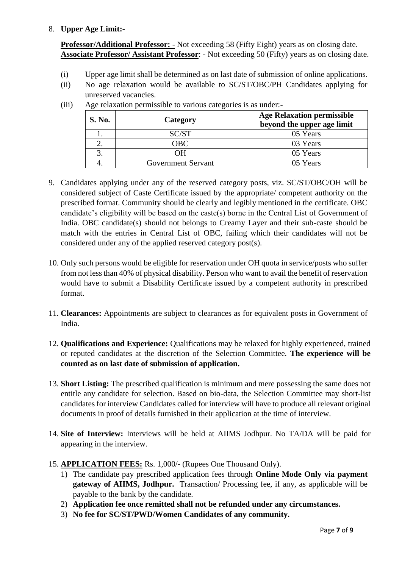### 8. **Upper Age Limit:-**

**Professor/Additional Professor: -** Not exceeding 58 (Fifty Eight) years as on closing date. **Associate Professor/ Assistant Professor**: - Not exceeding 50 (Fifty) years as on closing date.

- (i) Upper age limit shall be determined as on last date of submission of online applications.
- (ii) No age relaxation would be available to SC/ST/OBC/PH Candidates applying for unreserved vacancies.

| <b>S. No.</b> | Category                  | <b>Age Relaxation permissible</b><br>beyond the upper age limit |
|---------------|---------------------------|-----------------------------------------------------------------|
|               | SC/ST                     | 05 Years                                                        |
|               | $\overline{O}$ BC         | 03 Years                                                        |
|               | OН                        | 05 Years                                                        |
|               | <b>Government Servant</b> | 05 Years                                                        |

(iii) Age relaxation permissible to various categories is as under:-

- 9. Candidates applying under any of the reserved category posts, viz. SC/ST/OBC/OH will be considered subject of Caste Certificate issued by the appropriate/ competent authority on the prescribed format. Community should be clearly and legibly mentioned in the certificate. OBC candidate's eligibility will be based on the caste(s) borne in the Central List of Government of India. OBC candidate(s) should not belongs to Creamy Layer and their sub-caste should be match with the entries in Central List of OBC, failing which their candidates will not be considered under any of the applied reserved category post(s).
- 10. Only such persons would be eligible for reservation under OH quota in service/posts who suffer from not less than 40% of physical disability. Person who want to avail the benefit of reservation would have to submit a Disability Certificate issued by a competent authority in prescribed format.
- 11. **Clearances:** Appointments are subject to clearances as for equivalent posts in Government of India.
- 12. **Qualifications and Experience:** Qualifications may be relaxed for highly experienced, trained or reputed candidates at the discretion of the Selection Committee. **The experience will be counted as on last date of submission of application.**
- 13. **Short Listing:** The prescribed qualification is minimum and mere possessing the same does not entitle any candidate for selection. Based on bio-data, the Selection Committee may short-list candidates for interview Candidates called for interview will have to produce all relevant original documents in proof of details furnished in their application at the time of interview.
- 14. **Site of Interview:** Interviews will be held at AIIMS Jodhpur. No TA/DA will be paid for appearing in the interview.
- 15. **APPLICATION FEES:** Rs. 1,000/- (Rupees One Thousand Only).
	- 1) The candidate pay prescribed application fees through **Online Mode Only via payment gateway of AIIMS, Jodhpur.** Transaction/ Processing fee, if any, as applicable will be payable to the bank by the candidate.
	- 2) **Application fee once remitted shall not be refunded under any circumstances.**
	- 3) **No fee for SC/ST/PWD/Women Candidates of any community.**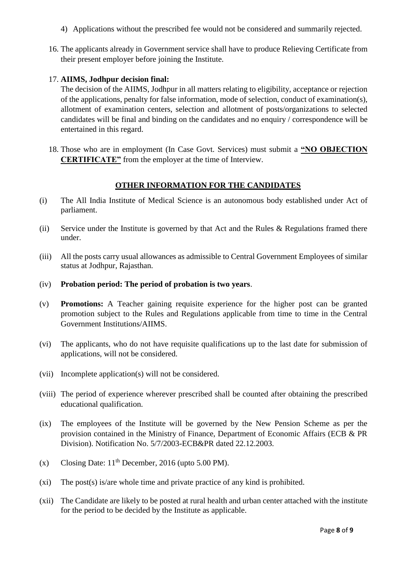- 4) Applications without the prescribed fee would not be considered and summarily rejected.
- 16. The applicants already in Government service shall have to produce Relieving Certificate from their present employer before joining the Institute.

### 17. **AIIMS, Jodhpur decision final:**

The decision of the AIIMS, Jodhpur in all matters relating to eligibility, acceptance or rejection of the applications, penalty for false information, mode of selection, conduct of examination(s), allotment of examination centers, selection and allotment of posts/organizations to selected candidates will be final and binding on the candidates and no enquiry / correspondence will be entertained in this regard.

18. Those who are in employment (In Case Govt. Services) must submit a **"NO OBJECTION CERTIFICATE"** from the employer at the time of Interview.

### **OTHER INFORMATION FOR THE CANDIDATES**

- (i) The All India Institute of Medical Science is an autonomous body established under Act of parliament.
- (ii) Service under the Institute is governed by that Act and the Rules & Regulations framed there under.
- (iii) All the posts carry usual allowances as admissible to Central Government Employees of similar status at Jodhpur, Rajasthan.
- (iv) **Probation period: The period of probation is two years**.
- (v) **Promotions:** A Teacher gaining requisite experience for the higher post can be granted promotion subject to the Rules and Regulations applicable from time to time in the Central Government Institutions/AIIMS.
- (vi) The applicants, who do not have requisite qualifications up to the last date for submission of applications, will not be considered.
- (vii) Incomplete application(s) will not be considered.
- (viii) The period of experience wherever prescribed shall be counted after obtaining the prescribed educational qualification.
- (ix) The employees of the Institute will be governed by the New Pension Scheme as per the provision contained in the Ministry of Finance, Department of Economic Affairs (ECB & PR Division). Notification No. 5/7/2003-ECB&PR dated 22.12.2003.
- (x) Closing Date:  $11<sup>th</sup>$  December, 2016 (upto 5.00 PM).
- (xi) The post(s) is/are whole time and private practice of any kind is prohibited.
- (xii) The Candidate are likely to be posted at rural health and urban center attached with the institute for the period to be decided by the Institute as applicable.